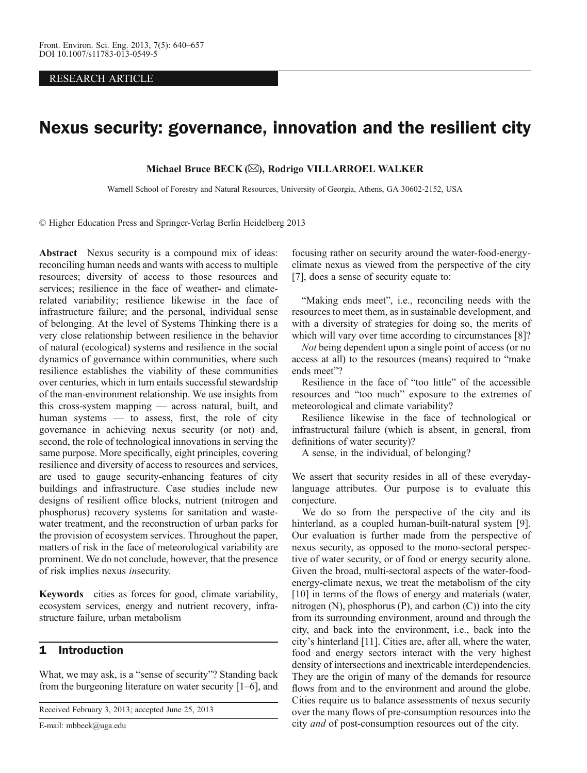#### RESEARCH ARTICLE

# Nexus security: governance, innovation and the resilient city

Michael Bruce BECK (✉), Rodrigo VILLARROEL WALKER

Warnell School of Forestry and Natural Resources, University of Georgia, Athens, GA 30602-2152, USA

© Higher Education Press and Springer-Verlag Berlin Heidelberg 2013

Abstract Nexus security is a compound mix of ideas: reconciling human needs and wants with access to multiple resources; diversity of access to those resources and services; resilience in the face of weather- and climaterelated variability; resilience likewise in the face of infrastructure failure; and the personal, individual sense of belonging. At the level of Systems Thinking there is a very close relationship between resilience in the behavior of natural (ecological) systems and resilience in the social dynamics of governance within communities, where such resilience establishes the viability of these communities over centuries, which in turn entails successful stewardship of the man-environment relationship. We use insights from this cross-system mapping — across natural, built, and human systems — to assess, first, the role of city governance in achieving nexus security (or not) and, second, the role of technological innovations in serving the same purpose. More specifically, eight principles, covering resilience and diversity of access to resources and services, are used to gauge security-enhancing features of city buildings and infrastructure. Case studies include new designs of resilient office blocks, nutrient (nitrogen and phosphorus) recovery systems for sanitation and wastewater treatment, and the reconstruction of urban parks for the provision of ecosystem services. Throughout the paper, matters of risk in the face of meteorological variability are prominent. We do not conclude, however, that the presence of risk implies nexus insecurity.

Keywords cities as forces for good, climate variability, ecosystem services, energy and nutrient recovery, infrastructure failure, urban metabolism

# 1 Introduction

What, we may ask, is a "sense of security"? Standing back from the burgeoning literature on water security [[1](#page-15-0)–[6\]](#page-15-0), and

Received February 3, 2013; accepted June 25, 2013

E-mail: mbbeck@uga.edu

focusing rather on security around the water-food-energyclimate nexus as viewed from the perspective of the city [[7\]](#page-15-0), does a sense of security equate to:

"Making ends meet", i.e., reconciling needs with the resources to meet them, as in sustainable development, and with a diversity of strategies for doing so, the merits of which will vary over time according to circumstances [\[8\]](#page-15-0)?

Not being dependent upon a single point of access (or no access at all) to the resources (means) required to "make ends meet"?

Resilience in the face of "too little" of the accessible resources and "too much" exposure to the extremes of meteorological and climate variability?

Resilience likewise in the face of technological or infrastructural failure (which is absent, in general, from definitions of water security)?

A sense, in the individual, of belonging?

We assert that security resides in all of these everydaylanguage attributes. Our purpose is to evaluate this conjecture.

We do so from the perspective of the city and its hinterland, as a coupled human-built-natural system [\[9\]](#page-15-0). Our evaluation is further made from the perspective of nexus security, as opposed to the mono-sectoral perspective of water security, or of food or energy security alone. Given the broad, multi-sectoral aspects of the water-foodenergy-climate nexus, we treat the metabolism of the city [[10](#page-15-0)] in terms of the flows of energy and materials (water, nitrogen (N), phosphorus (P), and carbon (C)) into the city from its surrounding environment, around and through the city, and back into the environment, i.e., back into the city's hinterland [[11\]](#page-15-0). Cities are, after all, where the water, food and energy sectors interact with the very highest density of intersections and inextricable interdependencies. They are the origin of many of the demands for resource flows from and to the environment and around the globe. Cities require us to balance assessments of nexus security over the many flows of pre-consumption resources into the city and of post-consumption resources out of the city.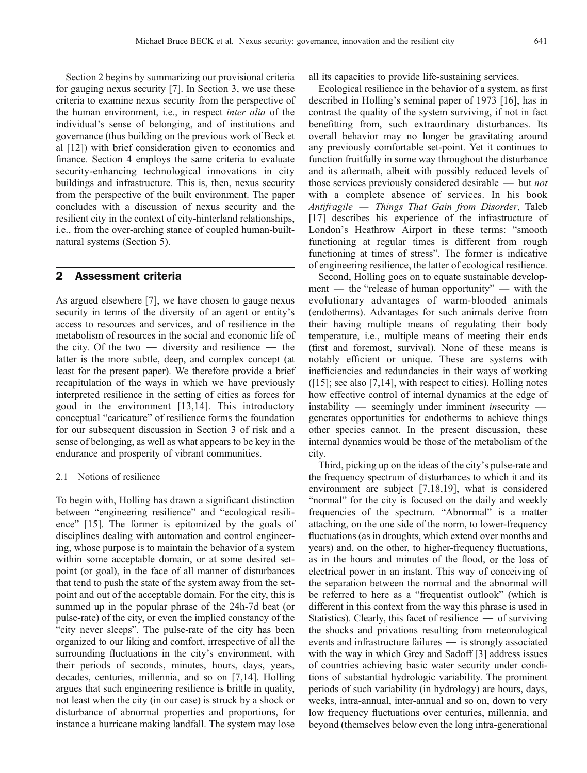Section 2 begins by summarizing our provisional criteria for gauging nexus security [[7\]](#page-15-0). In Section 3, we use these criteria to examine nexus security from the perspective of the human environment, i.e., in respect inter alia of the individual's sense of belonging, and of institutions and governance (thus building on the previous work of Beck et al [\[12\]](#page-15-0)) with brief consideration given to economics and finance. Section 4 employs the same criteria to evaluate security-enhancing technological innovations in city buildings and infrastructure. This is, then, nexus security from the perspective of the built environment. The paper concludes with a discussion of nexus security and the resilient city in the context of city-hinterland relationships, i.e., from the over-arching stance of coupled human-builtnatural systems (Section 5).

## 2 Assessment criteria

As argued elsewhere [[7\]](#page-15-0), we have chosen to gauge nexus security in terms of the diversity of an agent or entity's access to resources and services, and of resilience in the metabolism of resources in the social and economic life of the city. Of the two — diversity and resilience — the latter is the more subtle, deep, and complex concept (at least for the present paper). We therefore provide a brief recapitulation of the ways in which we have previously interpreted resilience in the setting of cities as forces for good in the environment [[13](#page-15-0),[14\]](#page-15-0). This introductory conceptual "caricature" of resilience forms the foundation for our subsequent discussion in Section 3 of risk and a sense of belonging, as well as what appears to be key in the endurance and prosperity of vibrant communities.

#### 2.1 Notions of resilience

To begin with, Holling has drawn a significant distinction between "engineering resilience" and "ecological resilience" [[15](#page-15-0)]. The former is epitomized by the goals of disciplines dealing with automation and control engineering, whose purpose is to maintain the behavior of a system within some acceptable domain, or at some desired setpoint (or goal), in the face of all manner of disturbances that tend to push the state of the system away from the setpoint and out of the acceptable domain. For the city, this is summed up in the popular phrase of the 24h-7d beat (or pulse-rate) of the city, or even the implied constancy of the "city never sleeps". The pulse-rate of the city has been organized to our liking and comfort, irrespective of all the surrounding fluctuations in the city's environment, with their periods of seconds, minutes, hours, days, years, decades, centuries, millennia, and so on [[7,14\]](#page-15-0). Holling argues that such engineering resilience is brittle in quality, not least when the city (in our case) is struck by a shock or disturbance of abnormal properties and proportions, for instance a hurricane making landfall. The system may lose

all its capacities to provide life-sustaining services.

Ecological resilience in the behavior of a system, as first described in Holling's seminal paper of 1973 [[16](#page-15-0)], has in contrast the quality of the system surviving, if not in fact benefitting from, such extraordinary disturbances. Its overall behavior may no longer be gravitating around any previously comfortable set-point. Yet it continues to function fruitfully in some way throughout the disturbance and its aftermath, albeit with possibly reduced levels of those services previously considered desirable — but not with a complete absence of services. In his book Antifragile — Things That Gain from Disorder, Taleb [[17](#page-15-0)] describes his experience of the infrastructure of London's Heathrow Airport in these terms: "smooth functioning at regular times is different from rough functioning at times of stress". The former is indicative of engineering resilience, the latter of ecological resilience.

Second, Holling goes on to equate sustainable development — the "release of human opportunity" — with the evolutionary advantages of warm-blooded animals (endotherms). Advantages for such animals derive from their having multiple means of regulating their body temperature, i.e., multiple means of meeting their ends (first and foremost, survival). None of these means is notably efficient or unique. These are systems with inefficiencies and redundancies in their ways of working  $(15)$  $(15)$  $(15)$ ; see also [\[7](#page-15-0),[14](#page-15-0)], with respect to cities). Holling notes how effective control of internal dynamics at the edge of instability — seemingly under imminent insecurity generates opportunities for endotherms to achieve things other species cannot. In the present discussion, these internal dynamics would be those of the metabolism of the city.

Third, picking up on the ideas of the city's pulse-rate and the frequency spectrum of disturbances to which it and its environment are subject [[7,18,19\]](#page-15-0), what is considered "normal" for the city is focused on the daily and weekly frequencies of the spectrum. "Abnormal" is a matter attaching, on the one side of the norm, to lower-frequency fluctuations (as in droughts, which extend over months and years) and, on the other, to higher-frequency fluctuations, as in the hours and minutes of the flood, or the loss of electrical power in an instant. This way of conceiving of the separation between the normal and the abnormal will be referred to here as a "frequentist outlook" (which is different in this context from the way this phrase is used in Statistics). Clearly, this facet of resilience — of surviving the shocks and privations resulting from meteorological events and infrastructure failures — is strongly associated with the way in which Grey and Sadoff [\[3\]](#page-15-0) address issues of countries achieving basic water security under conditions of substantial hydrologic variability. The prominent periods of such variability (in hydrology) are hours, days, weeks, intra-annual, inter-annual and so on, down to very low frequency fluctuations over centuries, millennia, and beyond (themselves below even the long intra-generational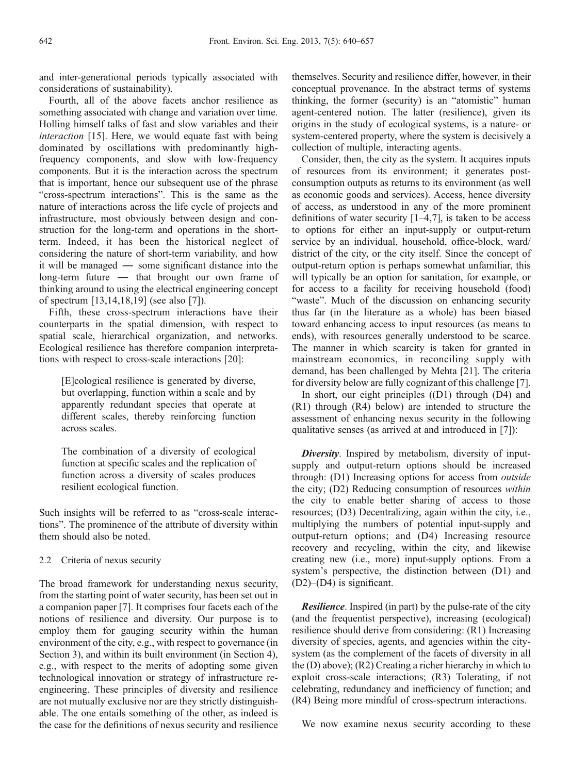and inter-generational periods typically associated with considerations of sustainability).

Fourth, all of the above facets anchor resilience as something associated with change and variation over time. Holling himself talks of fast and slow variables and their interaction [[15](#page-15-0)]. Here, we would equate fast with being dominated by oscillations with predominantly highfrequency components, and slow with low-frequency components. But it is the interaction across the spectrum that is important, hence our subsequent use of the phrase "cross-spectrum interactions". This is the same as the nature of interactions across the life cycle of projects and infrastructure, most obviously between design and construction for the long-term and operations in the shortterm. Indeed, it has been the historical neglect of considering the nature of short-term variability, and how it will be managed — some significant distance into the long-term future — that brought our own frame of thinking around to using the electrical engineering concept of spectrum [[13](#page-15-0),[14](#page-15-0),[18](#page-15-0),[19](#page-15-0)] (see also [[7](#page-15-0)]).

Fifth, these cross-spectrum interactions have their counterparts in the spatial dimension, with respect to spatial scale, hierarchical organization, and networks. Ecological resilience has therefore companion interpretations with respect to cross-scale interactions [[20](#page-15-0)]:

[E]cological resilience is generated by diverse, but overlapping, function within a scale and by apparently redundant species that operate at different scales, thereby reinforcing function across scales.

The combination of a diversity of ecological function at specific scales and the replication of function across a diversity of scales produces resilient ecological function.

Such insights will be referred to as "cross-scale interactions". The prominence of the attribute of diversity within them should also be noted.

#### 2.2 Criteria of nexus security

The broad framework for understanding nexus security, from the starting point of water security, has been set out in a companion paper [\[7](#page-15-0)]. It comprises four facets each of the notions of resilience and diversity. Our purpose is to employ them for gauging security within the human environment of the city, e.g., with respect to governance (in Section 3), and within its built environment (in Section 4), e.g., with respect to the merits of adopting some given technological innovation or strategy of infrastructure reengineering. These principles of diversity and resilience are not mutually exclusive nor are they strictly distinguishable. The one entails something of the other, as indeed is the case for the definitions of nexus security and resilience

themselves. Security and resilience differ, however, in their conceptual provenance. In the abstract terms of systems thinking, the former (security) is an "atomistic" human agent-centered notion. The latter (resilience), given its origins in the study of ecological systems, is a nature- or system-centered property, where the system is decisively a collection of multiple, interacting agents.

Consider, then, the city as the system. It acquires inputs of resources from its environment; it generates postconsumption outputs as returns to its environment (as well as economic goods and services). Access, hence diversity of access, as understood in any of the more prominent definitions of water security  $[1-4,7]$  $[1-4,7]$  $[1-4,7]$ , is taken to be access to options for either an input-supply or output-return service by an individual, household, office-block, ward/ district of the city, or the city itself. Since the concept of output-return option is perhaps somewhat unfamiliar, this will typically be an option for sanitation, for example, or for access to a facility for receiving household (food) "waste". Much of the discussion on enhancing security thus far (in the literature as a whole) has been biased toward enhancing access to input resources (as means to ends), with resources generally understood to be scarce. The manner in which scarcity is taken for granted in mainstream economics, in reconciling supply with demand, has been challenged by Mehta [\[21\]](#page-15-0). The criteria for diversity below are fully cognizant of this challenge [\[7\]](#page-15-0).

In short, our eight principles ((D1) through (D4) and (R1) through (R4) below) are intended to structure the assessment of enhancing nexus security in the following qualitative senses (as arrived at and introduced in [[7\]](#page-15-0)):

**Diversity.** Inspired by metabolism, diversity of inputsupply and output-return options should be increased through: (D1) Increasing options for access from outside the city; (D2) Reducing consumption of resources within the city to enable better sharing of access to those resources; (D3) Decentralizing, again within the city, i.e., multiplying the numbers of potential input-supply and output-return options; and (D4) Increasing resource recovery and recycling, within the city, and likewise creating new (i.e., more) input-supply options. From a system's perspective, the distinction between (D1) and (D2)–(D4) is significant.

Resilience. Inspired (in part) by the pulse-rate of the city (and the frequentist perspective), increasing (ecological) resilience should derive from considering: (R1) Increasing diversity of species, agents, and agencies within the citysystem (as the complement of the facets of diversity in all the (D) above); (R2) Creating a richer hierarchy in which to exploit cross-scale interactions; (R3) Tolerating, if not celebrating, redundancy and inefficiency of function; and (R4) Being more mindful of cross-spectrum interactions.

We now examine nexus security according to these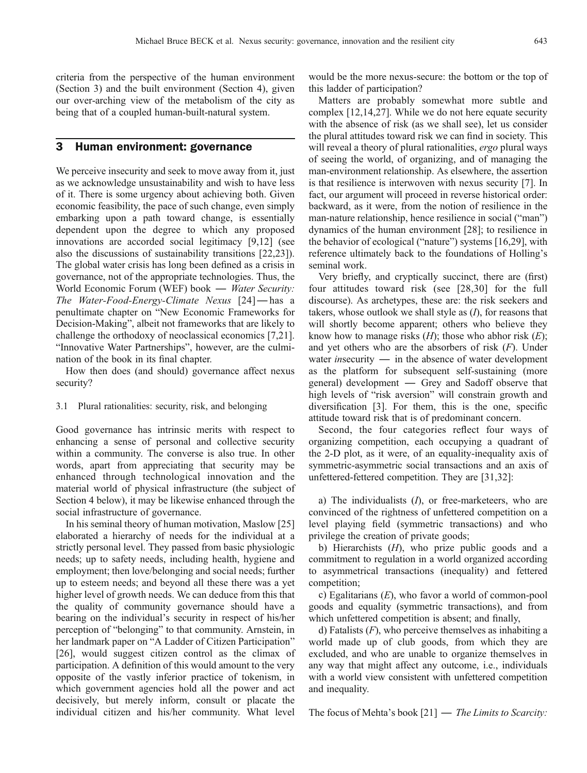criteria from the perspective of the human environment (Section 3) and the built environment (Section 4), given our over-arching view of the metabolism of the city as being that of a coupled human-built-natural system.

## 3 Human environment: governance

We perceive insecurity and seek to move away from it, just as we acknowledge unsustainability and wish to have less of it. There is some urgency about achieving both. Given economic feasibility, the pace of such change, even simply embarking upon a path toward change, is essentially dependent upon the degree to which any proposed innovations are accorded social legitimacy [\[9](#page-15-0),[12](#page-15-0)] (see also the discussions of sustainability transitions [\[22,23\]](#page-15-0)). The global water crisis has long been defined as a crisis in governance, not of the appropriate technologies. Thus, the World Economic Forum (WEF) book — Water Security: The Water-Food-Energy-Climate Nexus [[24\]](#page-15-0) — has a penultimate chapter on "New Economic Frameworks for Decision-Making", albeit not frameworks that are likely to challenge the orthodoxy of neoclassical economics [[7,21](#page-15-0)]. "Innovative Water Partnerships", however, are the culmination of the book in its final chapter.

How then does (and should) governance affect nexus security?

#### 3.1 Plural rationalities: security, risk, and belonging

Good governance has intrinsic merits with respect to enhancing a sense of personal and collective security within a community. The converse is also true. In other words, apart from appreciating that security may be enhanced through technological innovation and the material world of physical infrastructure (the subject of Section 4 below), it may be likewise enhanced through the social infrastructure of governance.

In his seminal theory of human motivation, Maslow [\[25\]](#page-15-0) elaborated a hierarchy of needs for the individual at a strictly personal level. They passed from basic physiologic needs; up to safety needs, including health, hygiene and employment; then love/belonging and social needs; further up to esteem needs; and beyond all these there was a yet higher level of growth needs. We can deduce from this that the quality of community governance should have a bearing on the individual's security in respect of his/her perception of "belonging" to that community. Arnstein, in her landmark paper on "A Ladder of Citizen Participation" [\[26\]](#page-15-0), would suggest citizen control as the climax of participation. A definition of this would amount to the very opposite of the vastly inferior practice of tokenism, in which government agencies hold all the power and act decisively, but merely inform, consult or placate the individual citizen and his/her community. What level

would be the more nexus-secure: the bottom or the top of this ladder of participation?

Matters are probably somewhat more subtle and complex [\[12,14,27\]](#page-15-0). While we do not here equate security with the absence of risk (as we shall see), let us consider the plural attitudes toward risk we can find in society. This will reveal a theory of plural rationalities, ergo plural ways of seeing the world, of organizing, and of managing the man-environment relationship. As elsewhere, the assertion is that resilience is interwoven with nexus security [[7\]](#page-15-0). In fact, our argument will proceed in reverse historical order: backward, as it were, from the notion of resilience in the man-nature relationship, hence resilience in social ("man") dynamics of the human environment [[28](#page-15-0)]; to resilience in the behavior of ecological ("nature") systems [\[16,29\]](#page-15-0), with reference ultimately back to the foundations of Holling's seminal work.

Very briefly, and cryptically succinct, there are (first) four attitudes toward risk (see [\[28](#page-15-0),[30\]](#page-16-0) for the full discourse). As archetypes, these are: the risk seekers and takers, whose outlook we shall style as  $(I)$ , for reasons that will shortly become apparent; others who believe they know how to manage risks  $(H)$ ; those who abhor risk  $(E)$ ; and yet others who are the absorbers of risk  $(F)$ . Under water *insecurity* — in the absence of water development as the platform for subsequent self-sustaining (more general) development — Grey and Sadoff observe that high levels of "risk aversion" will constrain growth and diversification [[3\]](#page-15-0). For them, this is the one, specific attitude toward risk that is of predominant concern.

Second, the four categories reflect four ways of organizing competition, each occupying a quadrant of the 2-D plot, as it were, of an equality-inequality axis of symmetric-asymmetric social transactions and an axis of unfettered-fettered competition. They are [[31](#page-16-0),[32](#page-16-0)]:

a) The individualists  $(I)$ , or free-marketeers, who are convinced of the rightness of unfettered competition on a level playing field (symmetric transactions) and who privilege the creation of private goods;

b) Hierarchists  $(H)$ , who prize public goods and a commitment to regulation in a world organized according to asymmetrical transactions (inequality) and fettered competition;

c) Egalitarians  $(E)$ , who favor a world of common-pool goods and equality (symmetric transactions), and from which unfettered competition is absent; and finally,

d) Fatalists  $(F)$ , who perceive themselves as inhabiting a world made up of club goods, from which they are excluded, and who are unable to organize themselves in any way that might affect any outcome, i.e., individuals with a world view consistent with unfettered competition and inequality.

The focus of Mehta's book [\[21](#page-15-0)] — The Limits to Scarcity: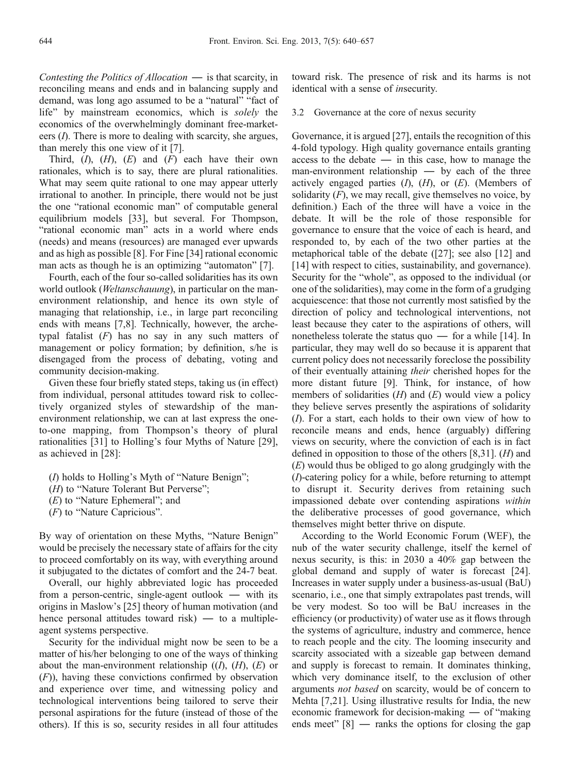Contesting the Politics of Allocation  $\overline{\phantom{a}}$  is that scarcity, in reconciling means and ends and in balancing supply and demand, was long ago assumed to be a "natural" "fact of life" by mainstream economics, which is solely the economics of the overwhelmingly dominant free-marketeers  $(I)$ . There is more to dealing with scarcity, she argues, than merely this one view of it [[7](#page-15-0)].

Third,  $(I)$ ,  $(H)$ ,  $(E)$  and  $(F)$  each have their own rationales, which is to say, there are plural rationalities. What may seem quite rational to one may appear utterly irrational to another. In principle, there would not be just the one "rational economic man" of computable general equilibrium models [[33](#page-16-0)], but several. For Thompson, "rational economic man" acts in a world where ends (needs) and means (resources) are managed ever upwards and as high as possible [\[8\]](#page-15-0). For Fine [\[34\]](#page-16-0) rational economic man acts as though he is an optimizing "automaton" [[7](#page-15-0)].

Fourth, each of the four so-called solidarities has its own world outlook (*Weltanschauung*), in particular on the manenvironment relationship, and hence its own style of managing that relationship, i.e., in large part reconciling ends with means [[7,8\]](#page-15-0). Technically, however, the archetypal fatalist  $(F)$  has no say in any such matters of management or policy formation; by definition, s/he is disengaged from the process of debating, voting and community decision-making.

Given these four briefly stated steps, taking us (in effect) from individual, personal attitudes toward risk to collectively organized styles of stewardship of the manenvironment relationship, we can at last express the oneto-one mapping, from Thompson's theory of plural rationalities [\[31\]](#page-16-0) to Holling's four Myths of Nature [[29](#page-15-0)], as achieved in [[28](#page-15-0)]:

- (I) holds to Holling's Myth of "Nature Benign";
- (*H*) to "Nature Tolerant But Perverse";
- (E) to "Nature Ephemeral"; and
- (F) to "Nature Capricious".

By way of orientation on these Myths, "Nature Benign" would be precisely the necessary state of affairs for the city to proceed comfortably on its way, with everything around it subjugated to the dictates of comfort and the 24-7 beat.

Overall, our highly abbreviated logic has proceeded from a person-centric, single-agent outlook — with its origins in Maslow's [[25\]](#page-15-0) theory of human motivation (and hence personal attitudes toward risk) — to a multipleagent systems perspective.

Security for the individual might now be seen to be a matter of his/her belonging to one of the ways of thinking about the man-environment relationship  $((I), (H), (E)$  or  $(F)$ ), having these convictions confirmed by observation and experience over time, and witnessing policy and technological interventions being tailored to serve their personal aspirations for the future (instead of those of the others). If this is so, security resides in all four attitudes

toward risk. The presence of risk and its harms is not identical with a sense of insecurity.

#### 3.2 Governance at the core of nexus security

Governance, it is argued [\[27\]](#page-15-0), entails the recognition of this 4-fold typology. High quality governance entails granting access to the debate — in this case, how to manage the man-environment relationship — by each of the three actively engaged parties  $(I)$ ,  $(H)$ , or  $(E)$ . (Members of solidarity  $(F)$ , we may recall, give themselves no voice, by definition.) Each of the three will have a voice in the debate. It will be the role of those responsible for governance to ensure that the voice of each is heard, and responded to, by each of the two other parties at the metaphorical table of the debate ([\[27\]](#page-15-0); see also [[12](#page-15-0)] and [[14](#page-15-0)] with respect to cities, sustainability, and governance). Security for the "whole", as opposed to the individual (or one of the solidarities), may come in the form of a grudging acquiescence: that those not currently most satisfied by the direction of policy and technological interventions, not least because they cater to the aspirations of others, will nonetheless tolerate the status quo — for a while [[14](#page-15-0)]. In particular, they may well do so because it is apparent that current policy does not necessarily foreclose the possibility of their eventually attaining their cherished hopes for the more distant future [9]. Think, for instance, of how members of solidarities  $(H)$  and  $(E)$  would view a policy they believe serves presently the aspirations of solidarity (I). For a start, each holds to their own view of how to reconcile means and ends, hence (arguably) differing views on security, where the conviction of each is in fact defined in opposition to those of the others [[8,](#page-15-0)[31](#page-16-0)].  $(H)$  and (E) would thus be obliged to go along grudgingly with the (I)-catering policy for a while, before returning to attempt to disrupt it. Security derives from retaining such impassioned debate over contending aspirations within the deliberative processes of good governance, which themselves might better thrive on dispute.

According to the World Economic Forum (WEF), the nub of the water security challenge, itself the kernel of nexus security, is this: in 2030 a 40% gap between the global demand and supply of water is forecast [\[24\]](#page-15-0). Increases in water supply under a business-as-usual (BaU) scenario, i.e., one that simply extrapolates past trends, will be very modest. So too will be BaU increases in the efficiency (or productivity) of water use as it flows through the systems of agriculture, industry and commerce, hence to reach people and the city. The looming insecurity and scarcity associated with a sizeable gap between demand and supply is forecast to remain. It dominates thinking, which very dominance itself, to the exclusion of other arguments not based on scarcity, would be of concern to Mehta [\[7,21\]](#page-15-0). Using illustrative results for India, the new economic framework for decision-making — of "making ends meet" [[8](#page-15-0)] — ranks the options for closing the gap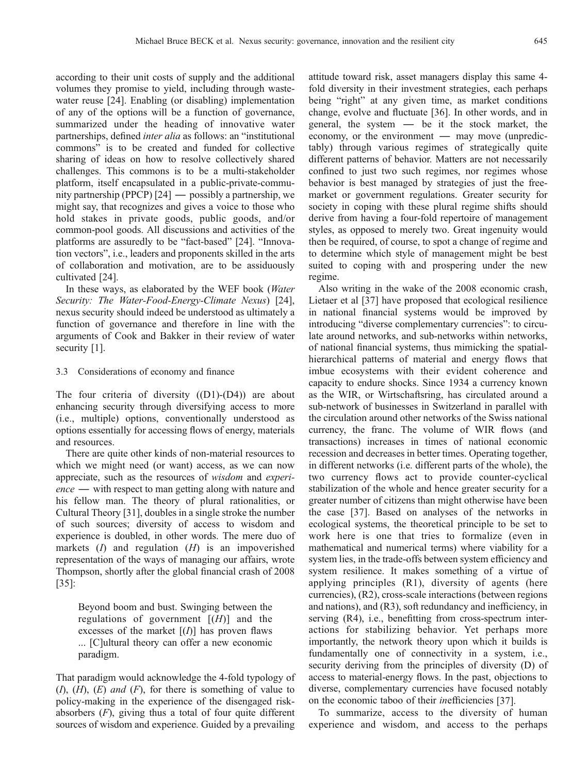according to their unit costs of supply and the additional volumes they promise to yield, including through wastewater reuse [\[24\]](#page-15-0). Enabling (or disabling) implementation of any of the options will be a function of governance, summarized under the heading of innovative water partnerships, defined inter alia as follows: an "institutional commons" is to be created and funded for collective sharing of ideas on how to resolve collectively shared challenges. This commons is to be a multi-stakeholder platform, itself encapsulated in a public-private-community partnership (PPCP) [\[24\]](#page-15-0) — possibly a partnership, we might say, that recognizes and gives a voice to those who hold stakes in private goods, public goods, and/or common-pool goods. All discussions and activities of the platforms are assuredly to be "fact-based" [\[24\]](#page-15-0). "Innovation vectors", i.e., leaders and proponents skilled in the arts of collaboration and motivation, are to be assiduously cultivated [[24](#page-15-0)].

In these ways, as elaborated by the WEF book (Water Security: The Water-Food-Energy-Climate Nexus) [[24](#page-15-0)], nexus security should indeed be understood as ultimately a function of governance and therefore in line with the arguments of Cook and Bakker in their review of water security [[1](#page-15-0)].

#### 3.3 Considerations of economy and finance

The four criteria of diversity  $((D1)-(D4))$  are about enhancing security through diversifying access to more (i.e., multiple) options, conventionally understood as options essentially for accessing flows of energy, materials and resources.

There are quite other kinds of non-material resources to which we might need (or want) access, as we can now appreciate, such as the resources of wisdom and experience — with respect to man getting along with nature and his fellow man. The theory of plural rationalities, or Cultural Theory [\[31\]](#page-16-0), doubles in a single stroke the number of such sources; diversity of access to wisdom and experience is doubled, in other words. The mere duo of markets  $(I)$  and regulation  $(H)$  is an impoverished representation of the ways of managing our affairs, wrote Thompson, shortly after the global financial crash of 2008 [\[35\]](#page-16-0):

Beyond boom and bust. Swinging between the regulations of government  $[(H)]$  and the excesses of the market  $[(I)]$  has proven flaws ... [C]ultural theory can offer a new economic paradigm.

That paradigm would acknowledge the 4-fold typology of  $(I), (H), (E)$  and  $(F)$ , for there is something of value to policy-making in the experience of the disengaged riskabsorbers  $(F)$ , giving thus a total of four quite different sources of wisdom and experience. Guided by a prevailing

attitude toward risk, asset managers display this same 4 fold diversity in their investment strategies, each perhaps being "right" at any given time, as market conditions change, evolve and fluctuate [[36](#page-16-0)]. In other words, and in general, the system — be it the stock market, the economy, or the environment — may move (unpredictably) through various regimes of strategically quite different patterns of behavior. Matters are not necessarily confined to just two such regimes, nor regimes whose behavior is best managed by strategies of just the freemarket or government regulations. Greater security for society in coping with these plural regime shifts should derive from having a four-fold repertoire of management styles, as opposed to merely two. Great ingenuity would then be required, of course, to spot a change of regime and to determine which style of management might be best suited to coping with and prospering under the new regime.

Also writing in the wake of the 2008 economic crash, Lietaer et al [\[37\]](#page-16-0) have proposed that ecological resilience in national financial systems would be improved by introducing "diverse complementary currencies": to circulate around networks, and sub-networks within networks, of national financial systems, thus mimicking the spatialhierarchical patterns of material and energy flows that imbue ecosystems with their evident coherence and capacity to endure shocks. Since 1934 a currency known as the WIR, or Wirtschaftsring, has circulated around a sub-network of businesses in Switzerland in parallel with the circulation around other networks of the Swiss national currency, the franc. The volume of WIR flows (and transactions) increases in times of national economic recession and decreases in better times. Operating together, in different networks (i.e. different parts of the whole), the two currency flows act to provide counter-cyclical stabilization of the whole and hence greater security for a greater number of citizens than might otherwise have been the case [\[37](#page-16-0)]. Based on analyses of the networks in ecological systems, the theoretical principle to be set to work here is one that tries to formalize (even in mathematical and numerical terms) where viability for a system lies, in the trade-offs between system efficiency and system resilience. It makes something of a virtue of applying principles (R1), diversity of agents (here currencies), (R2), cross-scale interactions (between regions and nations), and (R3), soft redundancy and inefficiency, in serving (R4), i.e., benefitting from cross-spectrum interactions for stabilizing behavior. Yet perhaps more importantly, the network theory upon which it builds is fundamentally one of connectivity in a system, i.e., security deriving from the principles of diversity (D) of access to material-energy flows. In the past, objections to diverse, complementary currencies have focused notably on the economic taboo of their inefficiencies [\[37\]](#page-16-0).

To summarize, access to the diversity of human experience and wisdom, and access to the perhaps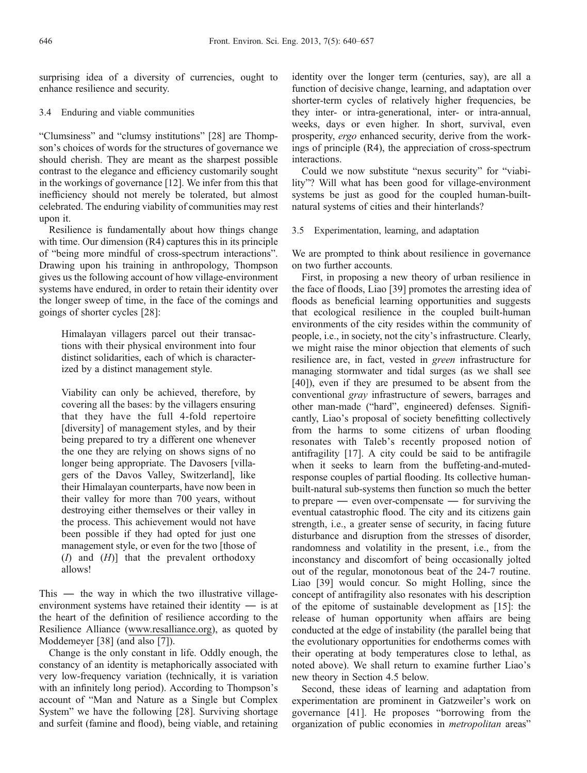surprising idea of a diversity of currencies, ought to enhance resilience and security.

#### 3.4 Enduring and viable communities

"Clumsiness" and "clumsy institutions" [[28](#page-15-0)] are Thompson's choices of words for the structures of governance we should cherish. They are meant as the sharpest possible contrast to the elegance and efficiency customarily sought in the workings of governance [\[12\]](#page-15-0). We infer from this that inefficiency should not merely be tolerated, but almost celebrated. The enduring viability of communities may rest upon it.

Resilience is fundamentally about how things change with time. Our dimension  $(R4)$  captures this in its principle of "being more mindful of cross-spectrum interactions". Drawing upon his training in anthropology, Thompson gives us the following account of how village-environment systems have endured, in order to retain their identity over the longer sweep of time, in the face of the comings and goings of shorter cycles [\[28\]](#page-15-0):

Himalayan villagers parcel out their transactions with their physical environment into four distinct solidarities, each of which is characterized by a distinct management style.

Viability can only be achieved, therefore, by covering all the bases: by the villagers ensuring that they have the full 4-fold repertoire [diversity] of management styles, and by their being prepared to try a different one whenever the one they are relying on shows signs of no longer being appropriate. The Davosers [villagers of the Davos Valley, Switzerland], like their Himalayan counterparts, have now been in their valley for more than 700 years, without destroying either themselves or their valley in the process. This achievement would not have been possible if they had opted for just one management style, or even for the two [those of  $(I)$  and  $(H)$ ] that the prevalent orthodoxy allows!

This — the way in which the two illustrative villageenvironment systems have retained their identity — is at the heart of the definition of resilience according to the Resilience Alliance (www.resalliance.org), as quoted by Moddemeyer [\[38\]](#page-16-0) (and also [\[7](#page-15-0)]).

Change is the only constant in life. Oddly enough, the constancy of an identity is metaphorically associated with very low-frequency variation (technically, it is variation with an infinitely long period). According to Thompson's account of "Man and Nature as a Single but Complex System" we have the following [[28](#page-15-0)]. Surviving shortage and surfeit (famine and flood), being viable, and retaining identity over the longer term (centuries, say), are all a function of decisive change, learning, and adaptation over shorter-term cycles of relatively higher frequencies, be they inter- or intra-generational, inter- or intra-annual, weeks, days or even higher. In short, survival, even prosperity, ergo enhanced security, derive from the workings of principle (R4), the appreciation of cross-spectrum interactions.

Could we now substitute "nexus security" for "viability"? Will what has been good for village-environment systems be just as good for the coupled human-builtnatural systems of cities and their hinterlands?

#### 3.5 Experimentation, learning, and adaptation

We are prompted to think about resilience in governance on two further accounts.

First, in proposing a new theory of urban resilience in the face of floods, Liao [\[39\]](#page-16-0) promotes the arresting idea of floods as beneficial learning opportunities and suggests that ecological resilience in the coupled built-human environments of the city resides within the community of people, i.e., in society, not the city's infrastructure. Clearly, we might raise the minor objection that elements of such resilience are, in fact, vested in green infrastructure for managing stormwater and tidal surges (as we shall see [[40](#page-16-0)]), even if they are presumed to be absent from the conventional gray infrastructure of sewers, barrages and other man-made ("hard", engineered) defenses. Significantly, Liao's proposal of society benefitting collectively from the harms to some citizens of urban flooding resonates with Taleb's recently proposed notion of antifragility [[17](#page-15-0)]. A city could be said to be antifragile when it seeks to learn from the buffeting-and-mutedresponse couples of partial flooding. Its collective humanbuilt-natural sub-systems then function so much the better to prepare — even over-compensate — for surviving the eventual catastrophic flood. The city and its citizens gain strength, i.e., a greater sense of security, in facing future disturbance and disruption from the stresses of disorder, randomness and volatility in the present, i.e., from the inconstancy and discomfort of being occasionally jolted out of the regular, monotonous beat of the 24-7 routine. Liao [\[39\]](#page-16-0) would concur. So might Holling, since the concept of antifragility also resonates with his description of the epitome of sustainable development as [[15\]](#page-15-0): the release of human opportunity when affairs are being conducted at the edge of instability (the parallel being that the evolutionary opportunities for endotherms comes with their operating at body temperatures close to lethal, as noted above). We shall return to examine further Liao's new theory in Section 4.5 below.

Second, these ideas of learning and adaptation from experimentation are prominent in Gatzweiler's work on governance [\[41](#page-16-0)]. He proposes "borrowing from the organization of public economies in metropolitan areas"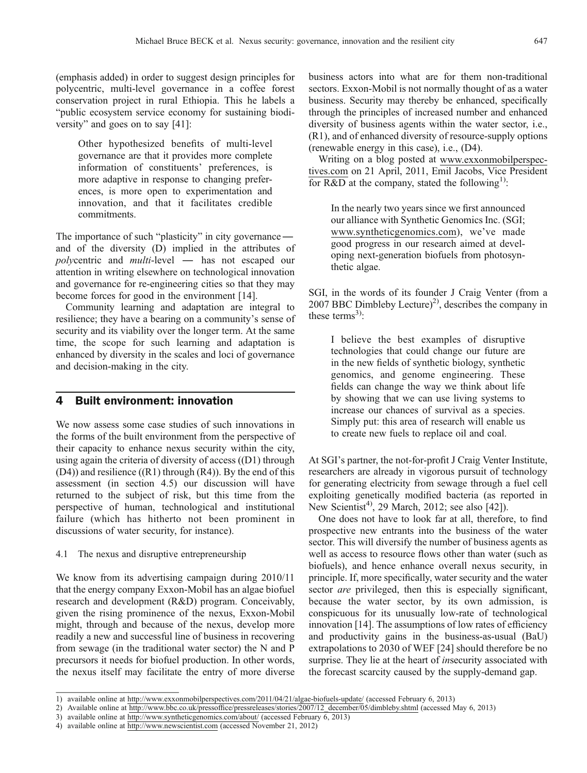(emphasis added) in order to suggest design principles for polycentric, multi-level governance in a coffee forest conservation project in rural Ethiopia. This he labels a "public ecosystem service economy for sustaining biodiversity" and goes on to say [[41](#page-16-0)]:

Other hypothesized benefits of multi-level governance are that it provides more complete information of constituents' preferences, is more adaptive in response to changing preferences, is more open to experimentation and innovation, and that it facilitates credible movation, and that it facilitates creation.<br>
In the nearly two years since we first announced<br>
In the nearly two years since we first announced

The importance of such "plasticity" in city governance and of the diversity (D) implied in the attributes of polycentric and multi-level — has not escaped our attention in writing elsewhere on technological innovation and governance for re-engineering cities so that they may become forces for good in the environment [\[14\]](#page-15-0).

Community learning and adaptation are integral to resilience; they have a bearing on a community's sense of security and its viability over the longer term. At the same time, the scope for such learning and adaptation is enhanced by diversity in the scales and loci of governance and decision-making in the city.

# 4 Built environment: innovation

We now assess some case studies of such innovations in the forms of the built environment from the perspective of their capacity to enhance nexus security within the city, using again the criteria of diversity of access ((D1) through  $(D4)$ ) and resilience  $((R1)$  through  $(R4)$ ). By the end of this assessment (in section 4.5) our discussion will have returned to the subject of risk, but this time from the perspective of human, technological and institutional failure (which has hitherto not been prominent in discussions of water security, for instance).

4.1 The nexus and disruptive entrepreneurship

We know from its advertising campaign during 2010/11 that the energy company Exxon-Mobil has an algae biofuel research and development (R&D) program. Conceivably, given the rising prominence of the nexus, Exxon-Mobil might, through and because of the nexus, develop more readily a new and successful line of business in recovering from sewage (in the traditional water sector) the N and P precursors it needs for biofuel production. In other words, the nexus itself may facilitate the entry of more diverse

business actors into what are for them non-traditional sectors. Exxon-Mobil is not normally thought of as a water business. Security may thereby be enhanced, specifically through the principles of increased number and enhanced diversity of business agents within the water sector, i.e., (R1), and of enhanced diversity of resource-supply options (renewable energy in this case), i.e., (D4).

Writing on a blog posted at www.exxonmobilperspectives.com on 21 April, 2011, Emil Jacobs, Vice President for R&D at the company, stated the following<sup>1)</sup>:

our alliance with Synthetic Genomics Inc. (SGI; www.syntheticgenomics.com), we've made good progress in our research aimed at developing next-generation biofuels from photosynthetic algae.

SGI, in the words of its founder J Craig Venter (from a 2007 BBC Dimbleby Lecture)<sup>2)</sup>, describes the company in these terms<sup>3)</sup>:

I believe the best examples of disruptive technologies that could change our future are in the new fields of synthetic biology, synthetic genomics, and genome engineering. These fields can change the way we think about life by showing that we can use living systems to increase our chances of survival as a species. Simply put: this area of research will enable us to create new fuels to replace oil and coal.

At SGI's partner, the not-for-profit J Craig Venter Institute, researchers are already in vigorous pursuit of technology for generating electricity from sewage through a fuel cell exploiting genetically modified bacteria (as reported in New Scientist<sup>4)</sup>, 29 March, 2012; see also [\[42\]](#page-16-0)).

One does not have to look far at all, therefore, to find prospective new entrants into the business of the water sector. This will diversify the number of business agents as well as access to resource flows other than water (such as biofuels), and hence enhance overall nexus security, in principle. If, more specifically, water security and the water sector *are* privileged, then this is especially significant, because the water sector, by its own admission, is conspicuous for its unusually low-rate of technological innovation [\[14\]](#page-15-0). The assumptions of low rates of efficiency and productivity gains in the business-as-usual (BaU) extrapolations to 2030 of WEF [[24](#page-15-0)] should therefore be no surprise. They lie at the heart of *insecurity* associated with the forecast scarcity caused by the supply-demand gap.

<sup>1)</sup> available online at http://www.exxonmobilperspectives.com/2011/04/21/algae-biofuels-update/ (accessed February 6, 2013)

<sup>2)</sup> Available online at http://www.bbc.co.uk/pressoffice/pressreleases/stories/2007/12\_december/05/dimbleby.shtml (accessed May 6, 2013)

<sup>3)</sup> available online at  $\frac{http://www.synthetic genomics.com/about/(accessed February 6, 2013))}{http://www.synthetic genomics.com/about/(accessed February 6, 2013))}$ 

<sup>4)</sup> available online at http://www.newscientist.com (accessed November 21, 2012)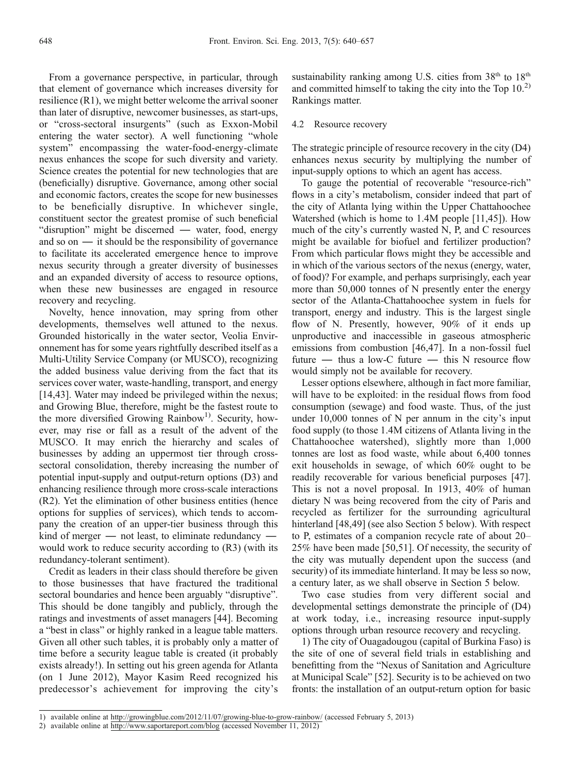From a governance perspective, in particular, through that element of governance which increases diversity for resilience (R1), we might better welcome the arrival sooner than later of disruptive, newcomer businesses, as start-ups, or "cross-sectoral insurgents" (such as Exxon-Mobil entering the water sector). A well functioning "whole system" encompassing the water-food-energy-climate nexus enhances the scope for such diversity and variety. Science creates the potential for new technologies that are (beneficially) disruptive. Governance, among other social and economic factors, creates the scope for new businesses to be beneficially disruptive. In whichever single, constituent sector the greatest promise of such beneficial "disruption" might be discerned — water, food, energy and so on — it should be the responsibility of governance to facilitate its accelerated emergence hence to improve nexus security through a greater diversity of businesses and an expanded diversity of access to resource options, when these new businesses are engaged in resource recovery and recycling.

Novelty, hence innovation, may spring from other developments, themselves well attuned to the nexus. Grounded historically in the water sector, Veolia Environnement has for some years rightfully described itself as a Multi-Utility Service Company (or MUSCO), recognizing the added business value deriving from the fact that its services cover water, waste-handling, transport, and energy [\[14,](#page-15-0)[43\]](#page-16-0). Water may indeed be privileged within the nexus; and Growing Blue, therefore, might be the fastest route to the more diversified Growing Rainbow<sup>1)</sup>. Security, however, may rise or fall as a result of the advent of the MUSCO. It may enrich the hierarchy and scales of businesses by adding an uppermost tier through crosssectoral consolidation, thereby increasing the number of potential input-supply and output-return options (D3) and enhancing resilience through more cross-scale interactions (R2). Yet the elimination of other business entities (hence options for supplies of services), which tends to accompany the creation of an upper-tier business through this kind of merger — not least, to eliminate redundancy would work to reduce security according to (R3) (with its redundancy-tolerant sentiment).

Credit as leaders in their class should therefore be given to those businesses that have fractured the traditional sectoral boundaries and hence been arguably "disruptive". This should be done tangibly and publicly, through the ratings and investments of asset managers [\[44\]](#page-16-0). Becoming a "best in class" or highly ranked in a league table matters. Given all other such tables, it is probably only a matter of time before a security league table is created (it probably exists already!). In setting out his green agenda for Atlanta (on 1 June 2012), Mayor Kasim Reed recognized his predecessor's achievement for improving the city's

sustainability ranking among U.S. cities from  $38<sup>th</sup>$  to  $18<sup>th</sup>$ and committed himself to taking the city into the Top  $10<sup>2</sup>$ Rankings matter.

#### 4.2 Resource recovery

The strategic principle of resource recovery in the city (D4) enhances nexus security by multiplying the number of input-supply options to which an agent has access.

To gauge the potential of recoverable "resource-rich" flows in a city's metabolism, consider indeed that part of the city of Atlanta lying within the Upper Chattahoochee Watershed (which is home to 1.4M people [[11,](#page-15-0)[45\]](#page-16-0)). How much of the city's currently wasted N, P, and C resources might be available for biofuel and fertilizer production? From which particular flows might they be accessible and in which of the various sectors of the nexus (energy, water, of food)? For example, and perhaps surprisingly, each year more than 50,000 tonnes of N presently enter the energy sector of the Atlanta-Chattahoochee system in fuels for transport, energy and industry. This is the largest single flow of N. Presently, however, 90% of it ends up unproductive and inaccessible in gaseous atmospheric emissions from combustion [[46](#page-16-0),[47](#page-16-0)]. In a non-fossil fuel future — thus a low-C future — this N resource flow would simply not be available for recovery.

Lesser options elsewhere, although in fact more familiar, will have to be exploited: in the residual flows from food consumption (sewage) and food waste. Thus, of the just under 10,000 tonnes of N per annum in the city's input food supply (to those 1.4M citizens of Atlanta living in the Chattahoochee watershed), slightly more than 1,000 tonnes are lost as food waste, while about 6,400 tonnes exit households in sewage, of which 60% ought to be readily recoverable for various beneficial purposes [\[47\]](#page-16-0). This is not a novel proposal. In 1913, 40% of human dietary N was being recovered from the city of Paris and recycled as fertilizer for the surrounding agricultural hinterland [[48,49](#page-16-0)] (see also Section 5 below). With respect to P, estimates of a companion recycle rate of about 20– 25% have been made [\[50,51\]](#page-16-0). Of necessity, the security of the city was mutually dependent upon the success (and security) of its immediate hinterland. It may be less so now, a century later, as we shall observe in Section 5 below.

Two case studies from very different social and developmental settings demonstrate the principle of (D4) at work today, i.e., increasing resource input-supply options through urban resource recovery and recycling.

1) The city of Ouagadougou (capital of Burkina Faso) is the site of one of several field trials in establishing and benefitting from the "Nexus of Sanitation and Agriculture at Municipal Scale" [[52\]](#page-16-0). Security is to be achieved on two fronts: the installation of an output-return option for basic

<sup>1)</sup> available online at http://growingblue.com/2012/11/07/growing-blue-to-grow-rainbow/ (accessed February 5, 2013)

<sup>2)</sup> available online at http://www.saportareport.com/blog (accessed November 11, 2012)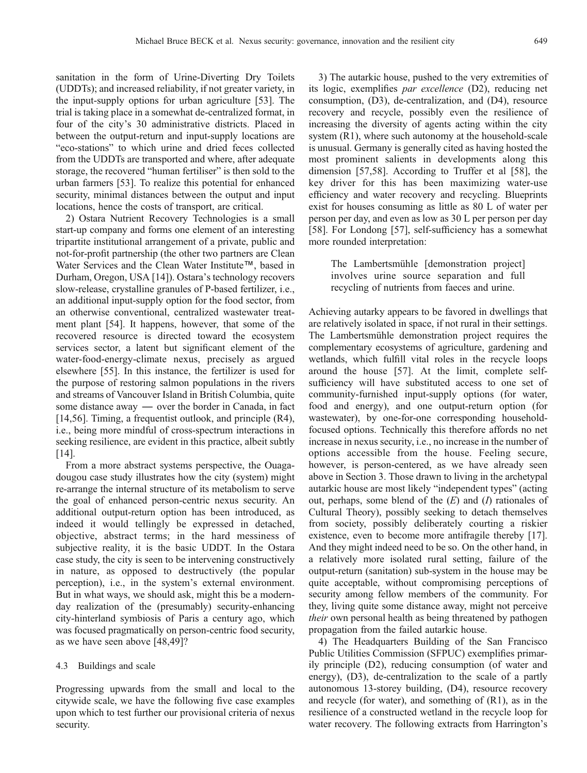sanitation in the form of Urine-Diverting Dry Toilets (UDDTs); and increased reliability, if not greater variety, in the input-supply options for urban agriculture [\[53\]](#page-16-0). The trial is taking place in a somewhat de-centralized format, in four of the city's 30 administrative districts. Placed in between the output-return and input-supply locations are "eco-stations" to which urine and dried feces collected from the UDDTs are transported and where, after adequate storage, the recovered "human fertiliser" is then sold to the urban farmers [[53](#page-16-0)]. To realize this potential for enhanced security, minimal distances between the output and input locations, hence the costs of transport, are critical.

2) Ostara Nutrient Recovery Technologies is a small start-up company and forms one element of an interesting tripartite institutional arrangement of a private, public and not-for-profit partnership (the other two partners are Clean Water Services and the Clean Water Institute™, based in Durham, Oregon, USA [\[14\]](#page-15-0)). Ostara's technology recovers slow-release, crystalline granules of P-based fertilizer, i.e., an additional input-supply option for the food sector, from an otherwise conventional, centralized wastewater treatment plant [[54](#page-16-0)]. It happens, however, that some of the recovered resource is directed toward the ecosystem services sector, a latent but significant element of the water-food-energy-climate nexus, precisely as argued elsewhere [55]. In this instance, the fertilizer is used for the purpose of restoring salmon populations in the rivers and streams of Vancouver Island in British Columbia, quite some distance away — over the border in Canada, in fact [\[14,](#page-15-0)[56\]](#page-16-0). Timing, a frequentist outlook, and principle (R4), i.e., being more mindful of cross-spectrum interactions in seeking resilience, are evident in this practice, albeit subtly [\[14\]](#page-15-0).

From a more abstract systems perspective, the Ouagadougou case study illustrates how the city (system) might re-arrange the internal structure of its metabolism to serve the goal of enhanced person-centric nexus security. An additional output-return option has been introduced, as indeed it would tellingly be expressed in detached, objective, abstract terms; in the hard messiness of subjective reality, it is the basic UDDT. In the Ostara case study, the city is seen to be intervening constructively in nature, as opposed to destructively (the popular perception), i.e., in the system's external environment. But in what ways, we should ask, might this be a modernday realization of the (presumably) security-enhancing city-hinterland symbiosis of Paris a century ago, which was focused pragmatically on person-centric food security, as we have seen above [\[48,49\]](#page-16-0)?

#### 4.3 Buildings and scale

Progressing upwards from the small and local to the citywide scale, we have the following five case examples upon which to test further our provisional criteria of nexus security.

3) The autarkic house, pushed to the very extremities of its logic, exemplifies par excellence (D2), reducing net consumption, (D3), de-centralization, and (D4), resource recovery and recycle, possibly even the resilience of increasing the diversity of agents acting within the city system (R1), where such autonomy at the household-scale is unusual. Germany is generally cited as having hosted the most prominent salients in developments along this dimension [[57](#page-16-0),[58](#page-16-0)]. According to Truffer et al [[58](#page-16-0)], the key driver for this has been maximizing water-use efficiency and water recovery and recycling. Blueprints exist for houses consuming as little as 80 L of water per person per day, and even as low as 30 L per person per day [[58](#page-16-0)]. For Londong [[57](#page-16-0)], self-sufficiency has a somewhat more rounded interpretation:

The Lambertsmühle [demonstration project] involves urine source separation and full recycling of nutrients from faeces and urine.

Achieving autarky appears to be favored in dwellings that are relatively isolated in space, if not rural in their settings. The Lambertsmühle demonstration project requires the complementary ecosystems of agriculture, gardening and wetlands, which fulfill vital roles in the recycle loops around the house [\[57\]](#page-16-0). At the limit, complete selfsufficiency will have substituted access to one set of community-furnished input-supply options (for water, food and energy), and one output-return option (for wastewater), by one-for-one corresponding householdfocused options. Technically this therefore affords no net increase in nexus security, i.e., no increase in the number of options accessible from the house. Feeling secure, however, is person-centered, as we have already seen above in Section 3. Those drawn to living in the archetypal autarkic house are most likely "independent types" (acting out, perhaps, some blend of the  $(E)$  and  $(I)$  rationales of Cultural Theory), possibly seeking to detach themselves from society, possibly deliberately courting a riskier existence, even to become more antifragile thereby [\[17\]](#page-15-0). And they might indeed need to be so. On the other hand, in a relatively more isolated rural setting, failure of the output-return (sanitation) sub-system in the house may be quite acceptable, without compromising perceptions of security among fellow members of the community. For they, living quite some distance away, might not perceive their own personal health as being threatened by pathogen propagation from the failed autarkic house.

4) The Headquarters Building of the San Francisco Public Utilities Commission (SFPUC) exemplifies primarily principle (D2), reducing consumption (of water and energy), (D3), de-centralization to the scale of a partly autonomous 13-storey building, (D4), resource recovery and recycle (for water), and something of (R1), as in the resilience of a constructed wetland in the recycle loop for water recovery. The following extracts from Harrington's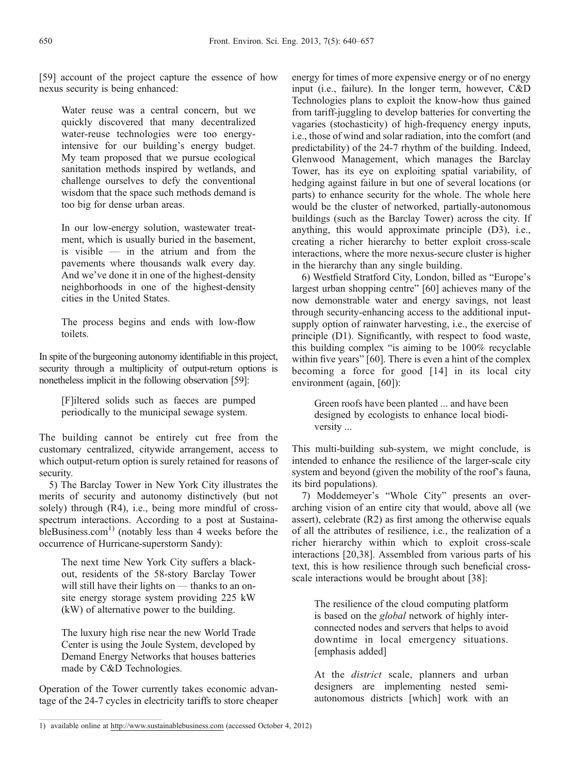[\[59\]](#page-16-0) account of the project capture the essence of how nexus security is being enhanced:

Water reuse was a central concern, but we quickly discovered that many decentralized water-reuse technologies were too energyintensive for our building's energy budget. My team proposed that we pursue ecological sanitation methods inspired by wetlands, and challenge ourselves to defy the conventional wisdom that the space such methods demand is too big for dense urban areas.

In our low-energy solution, wastewater treatment, which is usually buried in the basement, is visible  $-$  in the atrium and from the pavements where thousands walk every day. And we've done it in one of the highest-density neighborhoods in one of the highest-density cities in the United States.

The process begins and ends with low-flow toilets.

In spite of the burgeoning autonomy identifiable in this project, security through a multiplicity of output-return options is nonetheless implicit in the following observation [\[59](#page-16-0)]:

[F]iltered solids such as faeces are pumped periodically to the municipal sewage system.

The building cannot be entirely cut free from the customary centralized, citywide arrangement, access to which output-return option is surely retained for reasons of security.

5) The Barclay Tower in New York City illustrates the merits of security and autonomy distinctively (but not solely) through (R4), i.e., being more mindful of crossspectrum interactions. According to a post at Sustaina $bleBusiness.com<sup>1</sup>$  (notably less than 4 weeks before the occurrence of Hurricane-superstorm Sandy):

The next time New York City suffers a blackout, residents of the 58-story Barclay Tower will still have their lights on — thanks to an onsite energy storage system providing 225 kW (kW) of alternative power to the building.

The luxury high rise near the new World Trade Center is using the Joule System, developed by Demand Energy Networks that houses batteries made by C&D Technologies.

Operation of the Tower currently takes economic advantage of the 24-7 cycles in electricity tariffs to store cheaper energy for times of more expensive energy or of no energy input (i.e., failure). In the longer term, however, C&D Technologies plans to exploit the know-how thus gained from tariff-juggling to develop batteries for converting the vagaries (stochasticity) of high-frequency energy inputs, i.e., those of wind and solar radiation, into the comfort (and predictability) of the 24-7 rhythm of the building. Indeed, Glenwood Management, which manages the Barclay Tower, has its eye on exploiting spatial variability, of hedging against failure in but one of several locations (or parts) to enhance security for the whole. The whole here would be the cluster of networked, partially-autonomous buildings (such as the Barclay Tower) across the city. If anything, this would approximate principle (D3), i.e., creating a richer hierarchy to better exploit cross-scale interactions, where the more nexus-secure cluster is higher in the hierarchy than any single building.

6) Westfield Stratford City, London, billed as "Europe's largest urban shopping centre" [[60](#page-16-0)] achieves many of the now demonstrable water and energy savings, not least through security-enhancing access to the additional inputsupply option of rainwater harvesting, i.e., the exercise of principle (D1). Significantly, with respect to food waste, this building complex "is aiming to be 100% recyclable within five years" [\[60\]](#page-16-0). There is even a hint of the complex becoming a force for good [[14\]](#page-15-0) in its local city environment (again, [[60](#page-16-0)]):

Green roofs have been planted ... and have been designed by ecologists to enhance local biodiversity ...

This multi-building sub-system, we might conclude, is intended to enhance the resilience of the larger-scale city system and beyond (given the mobility of the roof's fauna, its bird populations).

7) Moddemeyer's "Whole City" presents an overarching vision of an entire city that would, above all (we assert), celebrate (R2) as first among the otherwise equals of all the attributes of resilience, i.e., the realization of a richer hierarchy within which to exploit cross-scale interactions [\[20,](#page-15-0)[38\]](#page-16-0). Assembled from various parts of his text, this is how resilience through such beneficial crossscale interactions would be brought about [\[38\]](#page-16-0):

The resilience of the cloud computing platform is based on the *global* network of highly interconnected nodes and servers that helps to avoid downtime in local emergency situations. [emphasis added]

At the district scale, planners and urban designers are implementing nested semiautonomous districts [which] work with an

<sup>1)</sup> available online at http://www.sustainablebusiness.com (accessed October 4, 2012)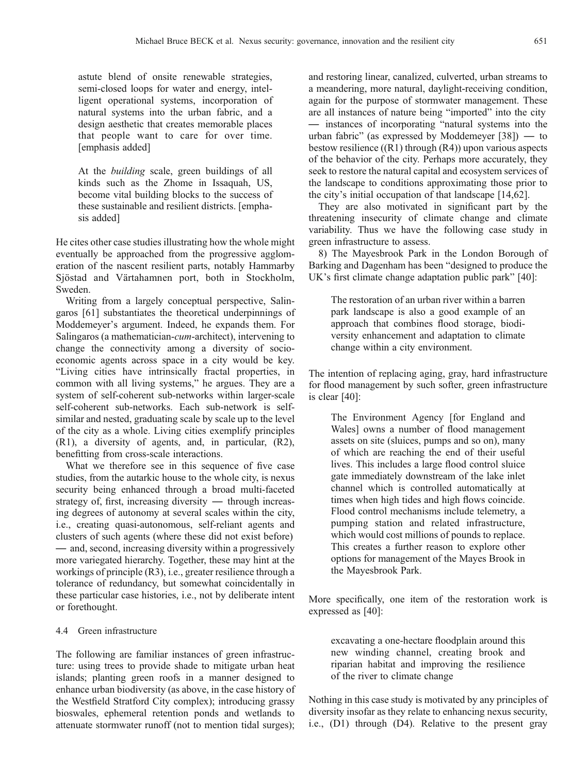astute blend of onsite renewable strategies, semi-closed loops for water and energy, intelligent operational systems, incorporation of natural systems into the urban fabric, and a design aesthetic that creates memorable places that people want to care for over time. [emphasis added]

At the building scale, green buildings of all kinds such as the Zhome in Issaquah, US, become vital building blocks to the success of these sustainable and resilient districts. [emphasis added]

He cites other case studies illustrating how the whole might eventually be approached from the progressive agglomeration of the nascent resilient parts, notably Hammarby Sjöstad and Värtahamnen port, both in Stockholm, Sweden.

Writing from a largely conceptual perspective, Salingaros [[61](#page-16-0)] substantiates the theoretical underpinnings of Moddemeyer's argument. Indeed, he expands them. For Salingaros (a mathematician-cum-architect), intervening to change the connectivity among a diversity of socioeconomic agents across space in a city would be key. "Living cities have intrinsically fractal properties, in common with all living systems," he argues. They are a system of self-coherent sub-networks within larger-scale self-coherent sub-networks. Each sub-network is selfsimilar and nested, graduating scale by scale up to the level of the city as a whole. Living cities exemplify principles (R1), a diversity of agents, and, in particular, (R2), benefitting from cross-scale interactions.

What we therefore see in this sequence of five case studies, from the autarkic house to the whole city, is nexus security being enhanced through a broad multi-faceted strategy of, first, increasing diversity — through increasing degrees of autonomy at several scales within the city, i.e., creating quasi-autonomous, self-reliant agents and clusters of such agents (where these did not exist before) — and, second, increasing diversity within a progressively more variegated hierarchy. Together, these may hint at the workings of principle (R3), i.e., greater resilience through a tolerance of redundancy, but somewhat coincidentally in these particular case histories, i.e., not by deliberate intent or forethought.

#### 4.4 Green infrastructure

The following are familiar instances of green infrastructure: using trees to provide shade to mitigate urban heat islands; planting green roofs in a manner designed to enhance urban biodiversity (as above, in the case history of the Westfield Stratford City complex); introducing grassy bioswales, ephemeral retention ponds and wetlands to attenuate stormwater runoff (not to mention tidal surges);

and restoring linear, canalized, culverted, urban streams to a meandering, more natural, daylight-receiving condition, again for the purpose of stormwater management. These are all instances of nature being "imported" into the city — instances of incorporating "natural systems into the urban fabric" (as expressed by Moddemeyer [\[38\]](#page-16-0)) — to bestow resilience  $((R1)$  through  $(R4)$ ) upon various aspects of the behavior of the city. Perhaps more accurately, they seek to restore the natural capital and ecosystem services of the landscape to conditions approximating those prior to the city's initial occupation of that landscape [\[14](#page-15-0)[,62\]](#page-16-0).

They are also motivated in significant part by the threatening insecurity of climate change and climate variability. Thus we have the following case study in green infrastructure to assess.

8) The Mayesbrook Park in the London Borough of Barking and Dagenham has been "designed to produce the UK's first climate change adaptation public park" [[40](#page-16-0)]:

The restoration of an urban river within a barren park landscape is also a good example of an approach that combines flood storage, biodiversity enhancement and adaptation to climate change within a city environment.

The intention of replacing aging, gray, hard infrastructure for flood management by such softer, green infrastructure is clear [[40](#page-16-0)]:

The Environment Agency [for England and Wales] owns a number of flood management assets on site (sluices, pumps and so on), many of which are reaching the end of their useful lives. This includes a large flood control sluice gate immediately downstream of the lake inlet channel which is controlled automatically at times when high tides and high flows coincide. Flood control mechanisms include telemetry, a pumping station and related infrastructure, which would cost millions of pounds to replace. This creates a further reason to explore other options for management of the Mayes Brook in the Mayesbrook Park.

More specifically, one item of the restoration work is expressed as [\[40\]](#page-16-0):

excavating a one-hectare floodplain around this new winding channel, creating brook and riparian habitat and improving the resilience of the river to climate change

Nothing in this case study is motivated by any principles of diversity insofar as they relate to enhancing nexus security, i.e., (D1) through (D4). Relative to the present gray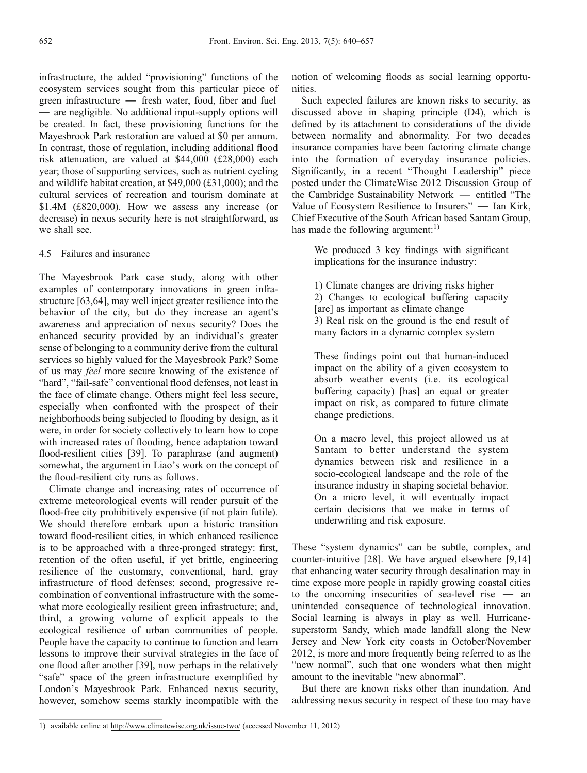infrastructure, the added "provisioning" functions of the ecosystem services sought from this particular piece of green infrastructure — fresh water, food, fiber and fuel — are negligible. No additional input-supply options will be created. In fact, these provisioning functions for the Mayesbrook Park restoration are valued at \$0 per annum. In contrast, those of regulation, including additional flood risk attenuation, are valued at \$44,000 (£28,000) each year; those of supporting services, such as nutrient cycling and wildlife habitat creation, at \$49,000 (£31,000); and the cultural services of recreation and tourism dominate at \$1.4M (£820,000). How we assess any increase (or decrease) in nexus security here is not straightforward, as we shall see.

#### 4.5 Failures and insurance

The Mayesbrook Park case study, along with other examples of contemporary innovations in green infrastructure [\[63,64\]](#page-16-0), may well inject greater resilience into the behavior of the city, but do they increase an agent's awareness and appreciation of nexus security? Does the enhanced security provided by an individual's greater sense of belonging to a community derive from the cultural services so highly valued for the Mayesbrook Park? Some of us may feel more secure knowing of the existence of "hard", "fail-safe" conventional flood defenses, not least in the face of climate change. Others might feel less secure, especially when confronted with the prospect of their neighborhoods being subjected to flooding by design, as it were, in order for society collectively to learn how to cope with increased rates of flooding, hence adaptation toward flood-resilient cities [[39](#page-16-0)]. To paraphrase (and augment) somewhat, the argument in Liao's work on the concept of the flood-resilient city runs as follows.

Climate change and increasing rates of occurrence of extreme meteorological events will render pursuit of the flood-free city prohibitively expensive (if not plain futile). We should therefore embark upon a historic transition toward flood-resilient cities, in which enhanced resilience is to be approached with a three-pronged strategy: first, retention of the often useful, if yet brittle, engineering resilience of the customary, conventional, hard, gray infrastructure of flood defenses; second, progressive recombination of conventional infrastructure with the somewhat more ecologically resilient green infrastructure; and, third, a growing volume of explicit appeals to the ecological resilience of urban communities of people. People have the capacity to continue to function and learn lessons to improve their survival strategies in the face of one flood after another [\[39\]](#page-16-0), now perhaps in the relatively "safe" space of the green infrastructure exemplified by London's Mayesbrook Park. Enhanced nexus security, however, somehow seems starkly incompatible with the

notion of welcoming floods as social learning opportunities.

Such expected failures are known risks to security, as discussed above in shaping principle (D4), which is defined by its attachment to considerations of the divide between normality and abnormality. For two decades insurance companies have been factoring climate change into the formation of everyday insurance policies. Significantly, in a recent "Thought Leadership" piece posted under the ClimateWise 2012 Discussion Group of the Cambridge Sustainability Network — entitled "The Value of Ecosystem Resilience to Insurers" — Ian Kirk, Chief Executive of the South African based Santam Group, has made the following argument: $^{1)}$ 

We produced 3 key findings with significant implications for the insurance industry:

1) Climate changes are driving risks higher 2) Changes to ecological buffering capacity [are] as important as climate change 3) Real risk on the ground is the end result of many factors in a dynamic complex system

These findings point out that human-induced impact on the ability of a given ecosystem to absorb weather events (i.e. its ecological buffering capacity) [has] an equal or greater impact on risk, as compared to future climate change predictions.

On a macro level, this project allowed us at Santam to better understand the system dynamics between risk and resilience in a socio-ecological landscape and the role of the insurance industry in shaping societal behavior. On a micro level, it will eventually impact certain decisions that we make in terms of underwriting and risk exposure.

These "system dynamics" can be subtle, complex, and counter-intuitive [[28](#page-15-0)]. We have argued elsewhere [[9](#page-15-0),[14](#page-15-0)] that enhancing water security through desalination may in time expose more people in rapidly growing coastal cities to the oncoming insecurities of sea-level rise — an unintended consequence of technological innovation. Social learning is always in play as well. Hurricanesuperstorm Sandy, which made landfall along the New Jersey and New York city coasts in October/November 2012, is more and more frequently being referred to as the "new normal", such that one wonders what then might amount to the inevitable "new abnormal".

But there are known risks other than inundation. And addressing nexus security in respect of these too may have

<sup>1)</sup> available online at http://www.climatewise.org.uk/issue-two/ (accessed November 11, 2012)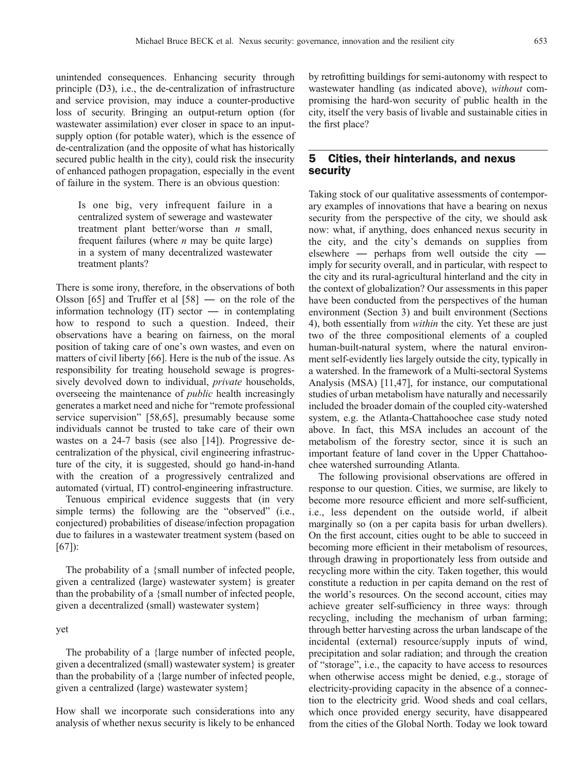unintended consequences. Enhancing security through principle (D3), i.e., the de-centralization of infrastructure and service provision, may induce a counter-productive loss of security. Bringing an output-return option (for wastewater assimilation) ever closer in space to an inputsupply option (for potable water), which is the essence of de-centralization (and the opposite of what has historically secured public health in the city), could risk the insecurity of enhanced pathogen propagation, especially in the event of failure in the system. There is an obvious question:

Is one big, very infrequent failure in a centralized system of sewerage and wastewater treatment plant better/worse than  $n$  small, frequent failures (where  $n$  may be quite large) in a system of many decentralized wastewater treatment plants?

There is some irony, therefore, in the observations of both Olsson [[65](#page-16-0)] and Truffer et al  $[58]$  $[58]$  — on the role of the information technology  $(IT)$  sector  $-$  in contemplating how to respond to such a question. Indeed, their observations have a bearing on fairness, on the moral position of taking care of one's own wastes, and even on matters of civil liberty [\[66\]](#page-17-0). Here is the nub of the issue. As responsibility for treating household sewage is progressively devolved down to individual, *private* households, overseeing the maintenance of public health increasingly generates a market need and niche for "remote professional service supervision" [[58](#page-16-0),[65](#page-16-0)], presumably because some individuals cannot be trusted to take care of their own wastes on a 24-7 basis (see also [\[14\]](#page-15-0)). Progressive decentralization of the physical, civil engineering infrastructure of the city, it is suggested, should go hand-in-hand with the creation of a progressively centralized and automated (virtual, IT) control-engineering infrastructure.

Tenuous empirical evidence suggests that (in very simple terms) the following are the "observed" (i.e., conjectured) probabilities of disease/infection propagation due to failures in a wastewater treatment system (based on [\[67\]](#page-17-0)):

The probability of a {small number of infected people, given a centralized (large) wastewater system} is greater than the probability of a {small number of infected people, given a decentralized (small) wastewater system}

yet

The probability of a {large number of infected people, given a decentralized (small) wastewater system} is greater than the probability of a {large number of infected people, given a centralized (large) wastewater system}

How shall we incorporate such considerations into any analysis of whether nexus security is likely to be enhanced

by retrofitting buildings for semi-autonomy with respect to wastewater handling (as indicated above), without compromising the hard-won security of public health in the city, itself the very basis of livable and sustainable cities in the first place?

## 5 Cities, their hinterlands, and nexus security

Taking stock of our qualitative assessments of contemporary examples of innovations that have a bearing on nexus security from the perspective of the city, we should ask now: what, if anything, does enhanced nexus security in the city, and the city's demands on supplies from elsewhere — perhaps from well outside the city imply for security overall, and in particular, with respect to the city and its rural-agricultural hinterland and the city in the context of globalization? Our assessments in this paper have been conducted from the perspectives of the human environment (Section 3) and built environment (Sections 4), both essentially from *within* the city. Yet these are just two of the three compositional elements of a coupled human-built-natural system, where the natural environment self-evidently lies largely outside the city, typically in a watershed. In the framework of a Multi-sectoral Systems Analysis (MSA) [[11](#page-15-0)[,47\]](#page-16-0), for instance, our computational studies of urban metabolism have naturally and necessarily included the broader domain of the coupled city-watershed system, e.g. the Atlanta-Chattahoochee case study noted above. In fact, this MSA includes an account of the metabolism of the forestry sector, since it is such an important feature of land cover in the Upper Chattahoochee watershed surrounding Atlanta.

The following provisional observations are offered in response to our question. Cities, we surmise, are likely to become more resource efficient and more self-sufficient, i.e., less dependent on the outside world, if albeit marginally so (on a per capita basis for urban dwellers). On the first account, cities ought to be able to succeed in becoming more efficient in their metabolism of resources, through drawing in proportionately less from outside and recycling more within the city. Taken together, this would constitute a reduction in per capita demand on the rest of the world's resources. On the second account, cities may achieve greater self-sufficiency in three ways: through recycling, including the mechanism of urban farming; through better harvesting across the urban landscape of the incidental (external) resource/supply inputs of wind, precipitation and solar radiation; and through the creation of "storage", i.e., the capacity to have access to resources when otherwise access might be denied, e.g., storage of electricity-providing capacity in the absence of a connection to the electricity grid. Wood sheds and coal cellars, which once provided energy security, have disappeared from the cities of the Global North. Today we look toward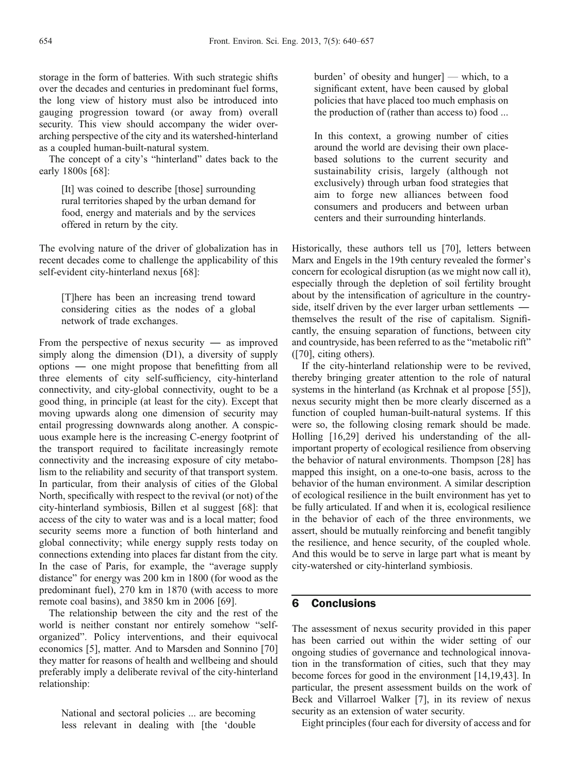storage in the form of batteries. With such strategic shifts over the decades and centuries in predominant fuel forms, the long view of history must also be introduced into gauging progression toward (or away from) overall security. This view should accompany the wider overarching perspective of the city and its watershed-hinterland as a coupled human-built-natural system.

The concept of a city's "hinterland" dates back to the early 1800s [[68](#page-17-0)]:

[It] was coined to describe [those] surrounding rural territories shaped by the urban demand for food, energy and materials and by the services offered in return by the city.

The evolving nature of the driver of globalization has in recent decades come to challenge the applicability of this self-evident city-hinterland nexus [\[68\]](#page-17-0):

[T]here has been an increasing trend toward considering cities as the nodes of a global network of trade exchanges.

From the perspective of nexus security  $-$  as improved simply along the dimension (D1), a diversity of supply options — one might propose that benefitting from all three elements of city self-sufficiency, city-hinterland connectivity, and city-global connectivity, ought to be a good thing, in principle (at least for the city). Except that moving upwards along one dimension of security may entail progressing downwards along another. A conspicuous example here is the increasing C-energy footprint of the transport required to facilitate increasingly remote connectivity and the increasing exposure of city metabolism to the reliability and security of that transport system. In particular, from their analysis of cities of the Global North, specifically with respect to the revival (or not) of the city-hinterland symbiosis, Billen et al suggest [[68\]](#page-17-0): that access of the city to water was and is a local matter; food security seems more a function of both hinterland and global connectivity; while energy supply rests today on connections extending into places far distant from the city. In the case of Paris, for example, the "average supply distance" for energy was 200 km in 1800 (for wood as the predominant fuel), 270 km in 1870 (with access to more remote coal basins), and 3850 km in 2006 [\[69](#page-17-0)].

The relationship between the city and the rest of the world is neither constant nor entirely somehow "selforganized". Policy interventions, and their equivocal economics [[5\]](#page-15-0), matter. And to Marsden and Sonnino [\[70\]](#page-17-0) they matter for reasons of health and wellbeing and should preferably imply a deliberate revival of the city-hinterland relationship:

National and sectoral policies ... are becoming less relevant in dealing with [the 'double

burden' of obesity and hunger] — which, to a significant extent, have been caused by global policies that have placed too much emphasis on the production of (rather than access to) food ...

In this context, a growing number of cities around the world are devising their own placebased solutions to the current security and sustainability crisis, largely (although not exclusively) through urban food strategies that aim to forge new alliances between food consumers and producers and between urban centers and their surrounding hinterlands.

Historically, these authors tell us [[70](#page-17-0)], letters between Marx and Engels in the 19th century revealed the former's concern for ecological disruption (as we might now call it), especially through the depletion of soil fertility brought about by the intensification of agriculture in the countryside, itself driven by the ever larger urban settlements themselves the result of the rise of capitalism. Significantly, the ensuing separation of functions, between city and countryside, has been referred to as the "metabolic rift" ([[70](#page-17-0)], citing others).

If the city-hinterland relationship were to be revived, thereby bringing greater attention to the role of natural systems in the hinterland (as Krchnak et al propose [55]), nexus security might then be more clearly discerned as a function of coupled human-built-natural systems. If this were so, the following closing remark should be made. Holling [\[16,29](#page-15-0)] derived his understanding of the allimportant property of ecological resilience from observing the behavior of natural environments. Thompson [[28](#page-15-0)] has mapped this insight, on a one-to-one basis, across to the behavior of the human environment. A similar description of ecological resilience in the built environment has yet to be fully articulated. If and when it is, ecological resilience in the behavior of each of the three environments, we assert, should be mutually reinforcing and benefit tangibly the resilience, and hence security, of the coupled whole. And this would be to serve in large part what is meant by city-watershed or city-hinterland symbiosis.

# 6 Conclusions

The assessment of nexus security provided in this paper has been carried out within the wider setting of our ongoing studies of governance and technological innovation in the transformation of cities, such that they may become forces for good in the environment [\[14,19](#page-15-0)[,43\]](#page-16-0). In particular, the present assessment builds on the work of Beck and Villarroel Walker [\[7\]](#page-15-0), in its review of nexus security as an extension of water security.

Eight principles (four each for diversity of access and for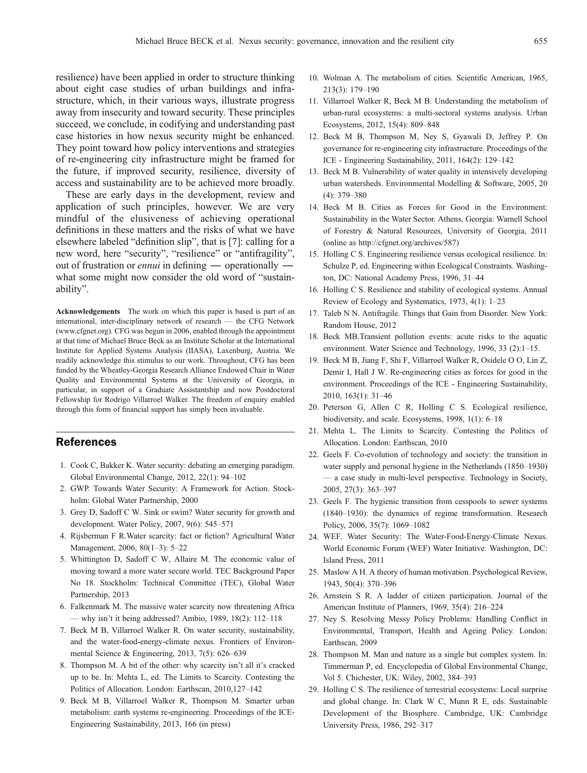<span id="page-15-0"></span>resilience) have been applied in order to structure thinking about eight case studies of urban buildings and infrastructure, which, in their various ways, illustrate progress away from insecurity and toward security. These principles succeed, we conclude, in codifying and understanding past case histories in how nexus security might be enhanced. They point toward how policy interventions and strategies of re-engineering city infrastructure might be framed for the future, if improved security, resilience, diversity of access and sustainability are to be achieved more broadly.

These are early days in the development, review and application of such principles, however. We are very mindful of the elusiveness of achieving operational definitions in these matters and the risks of what we have elsewhere labeled "definition slip", that is [7]: calling for a new word, here "security", "resilience" or "antifragility", out of frustration or ennui in defining — operationally what some might now consider the old word of "sustainability".

Acknowledgements The work on which this paper is based is part of an international, inter-disciplinary network of research — the CFG Network (www.cfgnet.org). CFG was begun in 2006, enabled through the appointment at that time of Michael Bruce Beck as an Institute Scholar at the International Institute for Applied Systems Analysis (IIASA), Laxenburg, Austria. We readily acknowledge this stimulus to our work. Throughout, CFG has been funded by the Wheatley-Georgia Research Alliance Endowed Chair in Water Quality and Environmental Systems at the University of Georgia, in particular, in support of a Graduate Assistantship and now Postdoctoral Fellowship for Rodrigo Villarroel Walker. The freedom of enquiry enabled through this form of financial support has simply been invaluable.

## References

- 1. Cook C, Bakker K. Water security: debating an emerging paradigm. Global Environmental Change, 2012, 22(1): 94–102
- 2. GWP. Towards Water Security: A Framework for Action. Stockholm: Global Water Partnership, 2000
- 3. Grey D, Sadoff C W. Sink or swim? Water security for growth and development. Water Policy, 2007, 9(6): 545–571
- 4. Rijsberman F R.Water scarcity: fact or fiction? Agricultural Water Management, 2006, 80(1–3): 5–22
- 5. Whittington D, Sadoff C W, Allaire M. The economic value of moving toward a more water secure world. TEC Background Paper No 18. Stockholm: Technical Committee (TEC), Global Water Partnership, 2013
- 6. Falkenmark M. The massive water scarcity now threatening Africa — why isn't it being addressed? Ambio, 1989, 18(2): 112–118
- 7. Beck M B, Villarroel Walker R. On water security, sustainability, and the water-food-energy-climate nexus. Frontiers of Environmental Science & Engineering, 2013, 7(5): 626–639
- 8. Thompson M. A bit of the other: why scarcity isn't all it's cracked up to be. In: Mehta L, ed. The Limits to Scarcity. Contesting the Politics of Allocation. London: Earthscan, 2010,127–142
- 9. Beck M B, Villarroel Walker R, Thompson M. Smarter urban metabolism: earth systems re-engineering. Proceedings of the ICE-Engineering Sustainability, 2013, 166 (in press)
- 10. Wolman A. The metabolism of cities. Scientific American, 1965, 213(3): 179–190
- 11. Villarroel Walker R, Beck M B. Understanding the metabolism of urban-rural ecosystems: a multi-sectoral systems analysis. Urban Ecosystems, 2012, 15(4): 809–848
- 12. Beck M B, Thompson M, Ney S, Gyawali D, Jeffrey P. On governance for re-engineering city infrastructure. Proceedings of the ICE - Engineering Sustainability, 2011, 164(2): 129–142
- 13. Beck M B. Vulnerability of water quality in intensively developing urban watersheds. Environmental Modelling & Software, 2005, 20 (4): 379–380
- 14. Beck M B. Cities as Forces for Good in the Environment: Sustainability in the Water Sector. Athens, Georgia: Warnell School of Forestry & Natural Resources, University of Georgia, 2011 (online as http://cfgnet.org/archives/587)
- 15. Holling C S. Engineering resilience versus ecological resilience. In: Schulze P, ed. Engineering within Ecological Constraints. Washington, DC: National Academy Press, 1996, 31–44
- 16. Holling C S. Resilience and stability of ecological systems. Annual Review of Ecology and Systematics, 1973, 4(1): 1–23
- 17. Taleb N N. Antifragile. Things that Gain from Disorder. New York: Random House, 2012
- 18. Beck MB.Transient pollution events: acute risks to the aquatic environment. Water Science and Technology, 1996, 33 (2):1–15.
- 19. Beck M B, Jiang F, Shi F, Villarroel Walker R, Osidele O O, Lin Z, Demir I, Hall J W. Re-engineering cities as forces for good in the environment. Proceedings of the ICE - Engineering Sustainability, 2010, 163(1): 31–46
- 20. Peterson G, Allen C R, Holling C S. Ecological resilience, biodiversity, and scale. Ecosystems, 1998, 1(1): 6–18
- 21. Mehta L. The Limits to Scarcity. Contesting the Politics of Allocation. London: Earthscan, 2010
- 22. Geels F. Co-evolution of technology and society: the transition in water supply and personal hygiene in the Netherlands (1850–1930) — a case study in multi-level perspective. Technology in Society, 2005, 27(3): 363–397
- 23. Geels F. The hygienic transition from cesspools to sewer systems (1840–1930): the dynamics of regime transformation. Research Policy, 2006, 35(7): 1069–1082
- 24. WEF. Water Security: The Water-Food-Energy-Climate Nexus. World Economic Forum (WEF) Water Initiative. Washington, DC: Island Press, 2011
- 25. Maslow A H. A theory of human motivation. Psychological Review, 1943, 50(4): 370–396
- 26. Arnstein S R. A ladder of citizen participation. Journal of the American Institute of Planners, 1969, 35(4): 216–224
- 27. Ney S. Resolving Messy Policy Problems: Handling Conflict in Environmental, Transport, Health and Ageing Policy. London: Earthscan, 2009
- 28. Thompson M. Man and nature as a single but complex system. In: Timmerman P, ed. Encyclopedia of Global Environmental Change, Vol 5. Chichester, UK: Wiley, 2002, 384–393
- 29. Holling C S. The resilience of terrestrial ecosystems: Local surprise and global change. In: Clark W C, Munn R E, eds. Sustainable Development of the Biosphere. Cambridge, UK: Cambridge University Press, 1986, 292–317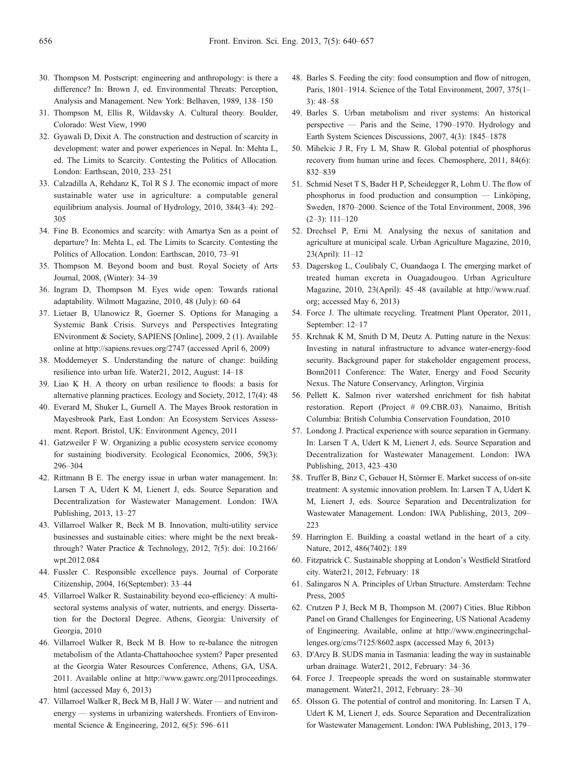- <span id="page-16-0"></span>30. Thompson M. Postscript: engineering and anthropology: is there a difference? In: Brown J, ed. Environmental Threats: Perception, Analysis and Management. New York: Belhaven, 1989, 138–150
- 31. Thompson M, Ellis R, Wildavsky A. Cultural theory. Boulder, Colorado: West View, 1990
- 32. Gyawali D, Dixit A. The construction and destruction of scarcity in development: water and power experiences in Nepal. In: Mehta L, ed. The Limits to Scarcity. Contesting the Politics of Allocation. London: Earthscan, 2010, 233–251
- 33. Calzadilla A, Rehdanz K, Tol R S J. The economic impact of more sustainable water use in agriculture: a computable general equilibrium analysis. Journal of Hydrology, 2010, 384(3–4): 292– 305
- 34. Fine B. Economics and scarcity: with Amartya Sen as a point of departure? In: Mehta L, ed. The Limits to Scarcity. Contesting the Politics of Allocation. London: Earthscan, 2010, 73–91
- 35. Thompson M. Beyond boom and bust. Royal Society of Arts Journal, 2008, (Winter): 34–39
- 36. Ingram D, Thompson M. Eyes wide open: Towards rational adaptability. Wilmott Magazine, 2010, 48 (July): 60–64
- 37. Lietaer B, Ulanowicz R, Goerner S. Options for Managing a Systemic Bank Crisis. Surveys and Perspectives Integrating ENvironment & Society, SAPIENS [Online], 2009, 2 (1). Available online at http://sapiens.revues.org/2747 (accessed April 6, 2009)
- 38. Moddemeyer S. Understanding the nature of change: building resilience into urban life. Water21, 2012, August: 14–18
- 39. Liao K H. A theory on urban resilience to floods: a basis for alternative planning practices. Ecology and Society, 2012, 17(4): 48
- 40. Everard M, Shuker L, Gurnell A. The Mayes Brook restoration in Mayesbrook Park, East London: An Ecosystem Services Assessment. Report. Bristol, UK: Environment Agency, 2011
- 41. Gatzweiler F W. Organizing a public ecosystem service economy for sustaining biodiversity. Ecological Economics, 2006, 59(3): 296–304
- 42. Rittmann B E. The energy issue in urban water management. In: Larsen T A, Udert K M, Lienert J, eds. Source Separation and Decentralization for Wastewater Management. London: IWA Publishing, 2013, 13–27
- 43. Villarroel Walker R, Beck M B. Innovation, multi-utility service businesses and sustainable cities: where might be the next breakthrough? Water Practice & Technology, 2012, 7(5): doi: 10.2166/ wpt.2012.084
- 44. Fussler C. Responsible excellence pays. Journal of Corporate Citizenship, 2004, 16(September): 33–44
- 45. Villarroel Walker R. Sustainability beyond eco-efficiency: A multisectoral systems analysis of water, nutrients, and energy. Dissertation for the Doctoral Degree. Athens, Georgia: University of Georgia, 2010
- 46. Villarroel Walker R, Beck M B. How to re-balance the nitrogen metabolism of the Atlanta-Chattahoochee system? Paper presented at the Georgia Water Resources Conference, Athens, GA, USA. 2011. Available online at http://www.gawrc.org/2011proceedings. html (accessed May 6, 2013)
- 47. Villarroel Walker R, Beck M B, Hall J W. Water and nutrient and energy — systems in urbanizing watersheds. Frontiers of Environmental Science & Engineering, 2012, 6(5): 596–611
- 48. Barles S. Feeding the city: food consumption and flow of nitrogen, Paris, 1801–1914. Science of the Total Environment, 2007, 375(1– 3): 48–58
- 49. Barles S. Urban metabolism and river systems: An historical perspective — Paris and the Seine, 1790–1970. Hydrology and Earth System Sciences Discussions, 2007, 4(3): 1845–1878
- 50. Mihelcic J R, Fry L M, Shaw R. Global potential of phosphorus recovery from human urine and feces. Chemosphere, 2011, 84(6): 832–839
- 51. Schmid Neset T S, Bader H P, Scheidegger R, Lohm U. The flow of phosphorus in food production and consumption — Linköping, Sweden, 1870–2000. Science of the Total Environment, 2008, 396  $(2-3)$ : 111-120
- 52. Drechsel P, Erni M. Analysing the nexus of sanitation and agriculture at municipal scale. Urban Agriculture Magazine, 2010, 23(April): 11–12
- 53. Dagerskog L, Coulibaly C, Ouandaoga I. The emerging market of treated human excreta in Ouagadougou. Urban Agriculture Magazine, 2010, 23(April): 45–48 (available at http://www.ruaf. org; accessed May 6, 2013)
- 54. Force J. The ultimate recycling. Treatment Plant Operator, 2011, September: 12–17
- 55. Krchnak K M, Smith D M, Deutz A. Putting nature in the Nexus: Investing in natural infrastructure to advance water-energy-food security. Background paper for stakeholder engagement process, Bonn2011 Conference: The Water, Energy and Food Security Nexus. The Nature Conservancy, Arlington, Virginia
- 56. Pellett K. Salmon river watershed enrichment for fish habitat restoration. Report (Project # 09.CBR.03). Nanaimo, British Columbia: British Columbia Conservation Foundation, 2010
- 57. Londong J. Practical experience with source separation in Germany. In: Larsen T A, Udert K M, Lienert J, eds. Source Separation and Decentralization for Wastewater Management. London: IWA Publishing, 2013, 423–430
- 58. Truffer B, Binz C, Gebauer H, Störmer E. Market success of on-site treatment: A systemic innovation problem. In: Larsen T A, Udert K M, Lienert J, eds. Source Separation and Decentralization for Wastewater Management. London: IWA Publishing, 2013, 209– 223
- 59. Harrington E. Building a coastal wetland in the heart of a city. Nature, 2012, 486(7402): 189
- 60. Fitzpatrick C. Sustainable shopping at London's Westfield Stratford city. Water21, 2012, February: 18
- 61. Salingaros N A. Principles of Urban Structure. Amsterdam: Techne Press, 2005
- 62. Crutzen P J, Beck M B, Thompson M. (2007) Cities. Blue Ribbon Panel on Grand Challenges for Engineering, US National Academy of Engineering. Available, online at http://www.engineeringchallenges.org/cms/7125/8602.aspx (accessed May 6, 2013)
- 63. D'Arcy B. SUDS mania in Tasmania: leading the way in sustainable urban drainage. Water21, 2012, February: 34–36
- 64. Force J. Treepeople spreads the word on sustainable stormwater management. Water21, 2012, February: 28–30
- 65. Olsson G. The potential of control and monitoring. In: Larsen T A, Udert K M, Lienert J, eds. Source Separation and Decentralization for Wastewater Management. London: IWA Publishing, 2013, 179–